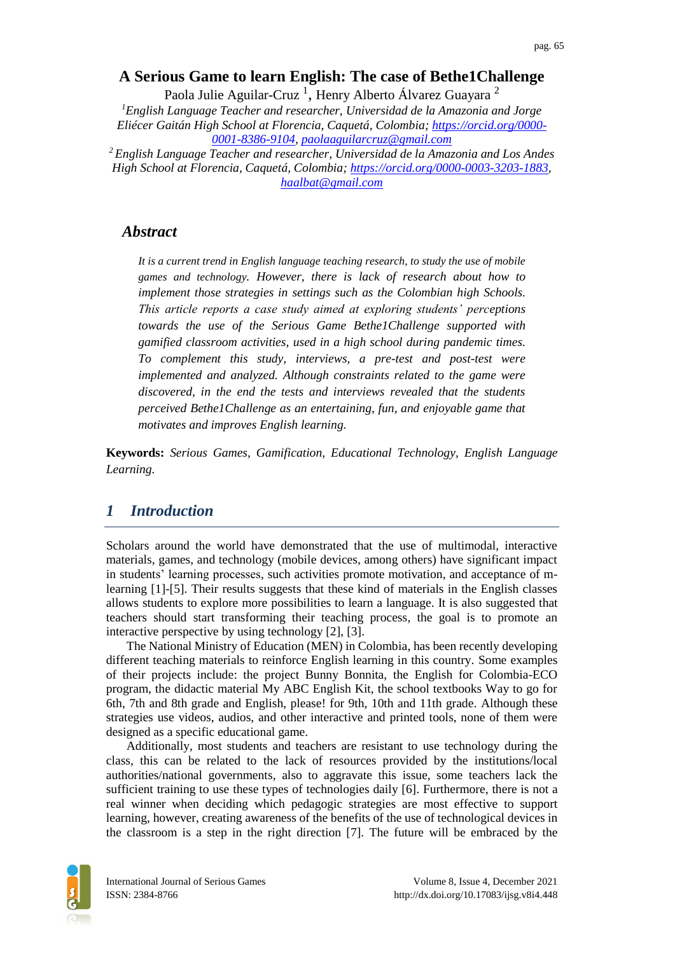## **A Serious Game to learn English: The case of Bethe1Challenge**

Paola Julie Aguilar-Cruz<sup>1</sup>, Henry Alberto Álvarez Guayara <sup>2</sup> *<sup>1</sup>English Language Teacher and researcher, Universidad de la Amazonia and Jorge Eliécer Gaitán High School at Florencia, Caquetá, Colombia; [https://orcid.org/0000-](https://orcid.org/0000-0001-8386-9104) [0001-8386-9104,](https://orcid.org/0000-0001-8386-9104) [paolaaguilarcruz@gmail.com](mailto:paolaaguilarcruz@gmail.com)*

*<sup>2</sup>English Language Teacher and researcher, Universidad de la Amazonia and Los Andes High School at Florencia, Caquetá, Colombia; [https://orcid.org/0000-0003-3203-1883,](https://orcid.org/0000-0003-3203-1883) [haalbat@gmail.com](mailto:haalbat@gmail.com)*

## *Abstract*

*It is a current trend in English language teaching research, to study the use of mobile games and technology. However, there is lack of research about how to implement those strategies in settings such as the Colombian high Schools. This article reports a case study aimed at exploring students' perceptions towards the use of the Serious Game Bethe1Challenge supported with gamified classroom activities, used in a high school during pandemic times. To complement this study, interviews, a pre-test and post-test were implemented and analyzed. Although constraints related to the game were discovered, in the end the tests and interviews revealed that the students perceived Bethe1Challenge as an entertaining, fun, and enjoyable game that motivates and improves English learning.*

**Keywords:** *Serious Games, Gamification, Educational Technology, English Language Learning.*

## *1 Introduction*

Scholars around the world have demonstrated that the use of multimodal, interactive materials, games, and technology (mobile devices, among others) have significant impact in students' learning processes, such activities promote motivation, and acceptance of mlearning [1]-[5]. Their results suggests that these kind of materials in the English classes allows students to explore more possibilities to learn a language. It is also suggested that teachers should start transforming their teaching process, the goal is to promote an interactive perspective by using technology [2], [3].

The National Ministry of Education (MEN) in Colombia, has been recently developing different teaching materials to reinforce English learning in this country. Some examples of their projects include: the project Bunny Bonnita, the English for Colombia-ECO program, the didactic material My ABC English Kit, the school textbooks Way to go for 6th, 7th and 8th grade and English, please! for 9th, 10th and 11th grade. Although these strategies use videos, audios, and other interactive and printed tools, none of them were designed as a specific educational game.

Additionally, most students and teachers are resistant to use technology during the class, this can be related to the lack of resources provided by the institutions/local authorities/national governments, also to aggravate this issue, some teachers lack the sufficient training to use these types of technologies daily [6]. Furthermore, there is not a real winner when deciding which pedagogic strategies are most effective to support learning, however, creating awareness of the benefits of the use of technological devices in the classroom is a step in the right direction [7]. The future will be embraced by the

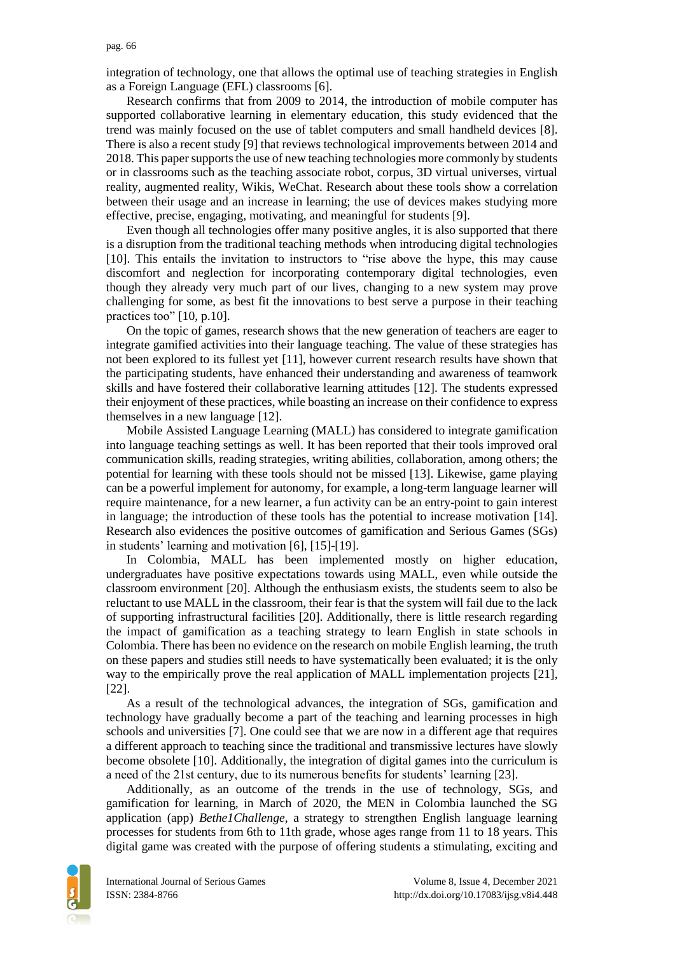integration of technology, one that allows the optimal use of teaching strategies in English as a Foreign Language (EFL) classrooms [6].

Research confirms that from 2009 to 2014, the introduction of mobile computer has supported collaborative learning in elementary education, this study evidenced that the trend was mainly focused on the use of tablet computers and small handheld devices [8]. There is also a recent study [9] that reviews technological improvements between 2014 and 2018. This paper supports the use of new teaching technologies more commonly by students or in classrooms such as the teaching associate robot, corpus, 3D virtual universes, virtual reality, augmented reality, Wikis, WeChat. Research about these tools show a correlation between their usage and an increase in learning; the use of devices makes studying more effective, precise, engaging, motivating, and meaningful for students [9].

Even though all technologies offer many positive angles, it is also supported that there is a disruption from the traditional teaching methods when introducing digital technologies [10]. This entails the invitation to instructors to "rise above the hype, this may cause discomfort and neglection for incorporating contemporary digital technologies, even though they already very much part of our lives, changing to a new system may prove challenging for some, as best fit the innovations to best serve a purpose in their teaching practices too" [10, p.10].

On the topic of games, research shows that the new generation of teachers are eager to integrate gamified activities into their language teaching. The value of these strategies has not been explored to its fullest yet [11], however current research results have shown that the participating students, have enhanced their understanding and awareness of teamwork skills and have fostered their collaborative learning attitudes [12]. The students expressed their enjoyment of these practices, while boasting an increase on their confidence to express themselves in a new language [12].

Mobile Assisted Language Learning (MALL) has considered to integrate gamification into language teaching settings as well. It has been reported that their tools improved oral communication skills, reading strategies, writing abilities, collaboration, among others; the potential for learning with these tools should not be missed [13]. Likewise, game playing can be a powerful implement for autonomy, for example, a long-term language learner will require maintenance, for a new learner, a fun activity can be an entry-point to gain interest in language; the introduction of these tools has the potential to increase motivation [14]. Research also evidences the positive outcomes of gamification and Serious Games (SGs) in students' learning and motivation [6], [15]-[19].

In Colombia, MALL has been implemented mostly on higher education, undergraduates have positive expectations towards using MALL, even while outside the classroom environment [20]. Although the enthusiasm exists, the students seem to also be reluctant to use MALL in the classroom, their fear is that the system will fail due to the lack of supporting infrastructural facilities [20]. Additionally, there is little research regarding the impact of gamification as a teaching strategy to learn English in state schools in Colombia. There has been no evidence on the research on mobile English learning, the truth on these papers and studies still needs to have systematically been evaluated; it is the only way to the empirically prove the real application of MALL implementation projects [21], [22].

As a result of the technological advances, the integration of SGs, gamification and technology have gradually become a part of the teaching and learning processes in high schools and universities [7]. One could see that we are now in a different age that requires a different approach to teaching since the traditional and transmissive lectures have slowly become obsolete [10]. Additionally, the integration of digital games into the curriculum is a need of the 21st century, due to its numerous benefits for students' learning [23].

Additionally, as an outcome of the trends in the use of technology, SGs, and gamification for learning, in March of 2020, the MEN in Colombia launched the SG application (app) *Bethe1Challenge*, a strategy to strengthen English language learning processes for students from 6th to 11th grade, whose ages range from 11 to 18 years. This digital game was created with the purpose of offering students a stimulating, exciting and

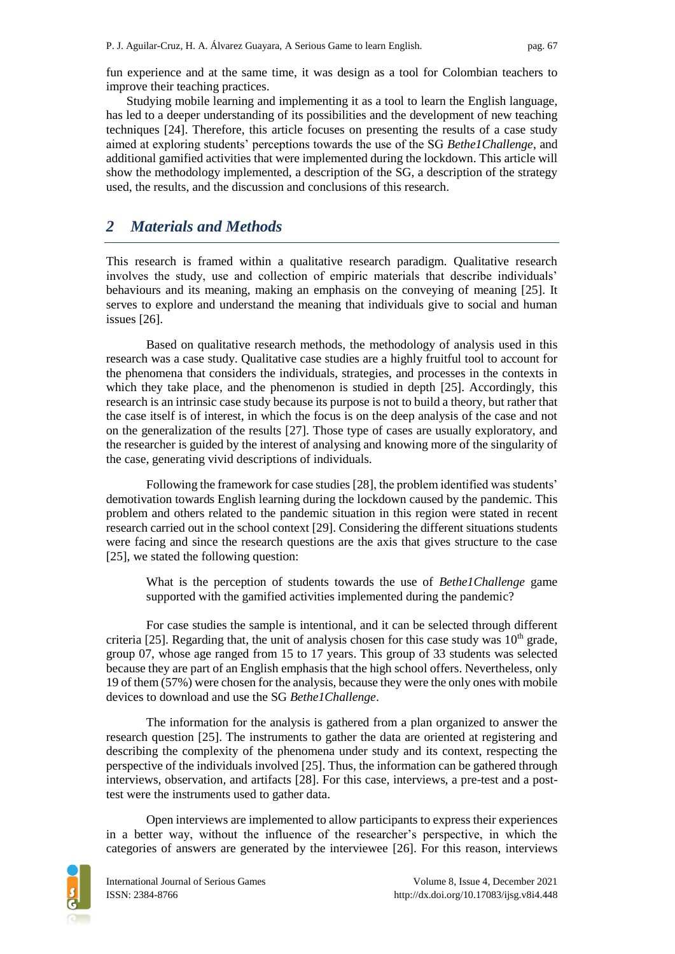fun experience and at the same time, it was design as a tool for Colombian teachers to improve their teaching practices.

Studying mobile learning and implementing it as a tool to learn the English language, has led to a deeper understanding of its possibilities and the development of new teaching techniques [24]. Therefore, this article focuses on presenting the results of a case study aimed at exploring students' perceptions towards the use of the SG *Bethe1Challenge*, and additional gamified activities that were implemented during the lockdown. This article will show the methodology implemented, a description of the SG, a description of the strategy used, the results, and the discussion and conclusions of this research.

## *2 Materials and Methods*

This research is framed within a qualitative research paradigm. Qualitative research involves the study, use and collection of empiric materials that describe individuals' behaviours and its meaning, making an emphasis on the conveying of meaning [25]. It serves to explore and understand the meaning that individuals give to social and human issues [26].

Based on qualitative research methods, the methodology of analysis used in this research was a case study. Qualitative case studies are a highly fruitful tool to account for the phenomena that considers the individuals, strategies, and processes in the contexts in which they take place, and the phenomenon is studied in depth [25]. Accordingly, this research is an intrinsic case study because its purpose is not to build a theory, but rather that the case itself is of interest, in which the focus is on the deep analysis of the case and not on the generalization of the results [27]. Those type of cases are usually exploratory, and the researcher is guided by the interest of analysing and knowing more of the singularity of the case, generating vivid descriptions of individuals.

Following the framework for case studies [28], the problem identified was students' demotivation towards English learning during the lockdown caused by the pandemic. This problem and others related to the pandemic situation in this region were stated in recent research carried out in the school context [29]. Considering the different situations students were facing and since the research questions are the axis that gives structure to the case [25], we stated the following question:

What is the perception of students towards the use of *Bethe1Challenge* game supported with the gamified activities implemented during the pandemic?

For case studies the sample is intentional, and it can be selected through different criteria [25]. Regarding that, the unit of analysis chosen for this case study was  $10<sup>th</sup>$  grade, group 07, whose age ranged from 15 to 17 years. This group of 33 students was selected because they are part of an English emphasis that the high school offers. Nevertheless, only 19 of them (57%) were chosen for the analysis, because they were the only ones with mobile devices to download and use the SG *Bethe1Challenge*.

The information for the analysis is gathered from a plan organized to answer the research question [25]. The instruments to gather the data are oriented at registering and describing the complexity of the phenomena under study and its context, respecting the perspective of the individuals involved [25]. Thus, the information can be gathered through interviews, observation, and artifacts [28]. For this case, interviews, a pre-test and a posttest were the instruments used to gather data.

Open interviews are implemented to allow participants to express their experiences in a better way, without the influence of the researcher's perspective, in which the categories of answers are generated by the interviewee [26]. For this reason, interviews

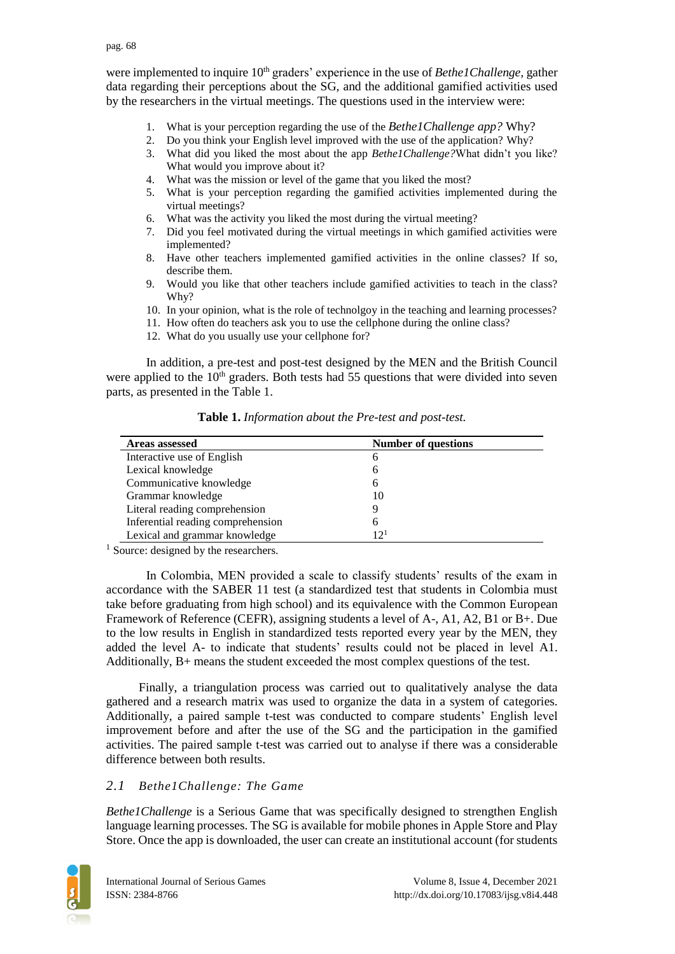were implemented to inquire 10<sup>th</sup> graders' experience in the use of *Bethe1Challenge*, gather data regarding their perceptions about the SG, and the additional gamified activities used by the researchers in the virtual meetings. The questions used in the interview were:

- 1. What is your perception regarding the use of the *Bethe1Challenge app?* Why?
- 2. Do you think your English level improved with the use of the application? Why?
- 3. What did you liked the most about the app *Bethe1Challenge?*What didn't you like? What would you improve about it?
- 4. What was the mission or level of the game that you liked the most?
- 5. What is your perception regarding the gamified activities implemented during the virtual meetings?
- 6. What was the activity you liked the most during the virtual meeting?
- 7. Did you feel motivated during the virtual meetings in which gamified activities were implemented?
- 8. Have other teachers implemented gamified activities in the online classes? If so, describe them.
- 9. Would you like that other teachers include gamified activities to teach in the class? Why?
- 10. In your opinion, what is the role of technolgoy in the teaching and learning processes?
- 11. How often do teachers ask you to use the cellphone during the online class?
- 12. What do you usually use your cellphone for?

In addition, a pre-test and post-test designed by the MEN and the British Council were applied to the  $10<sup>th</sup>$  graders. Both tests had 55 questions that were divided into seven parts, as presented in the Table 1.

| <b>Areas assessed</b>             | <b>Number of questions</b> |  |
|-----------------------------------|----------------------------|--|
| Interactive use of English        | h                          |  |
| Lexical knowledge                 | 6                          |  |
| Communicative knowledge           | <sub>0</sub>               |  |
| Grammar knowledge                 | 10                         |  |
| Literal reading comprehension     |                            |  |
| Inferential reading comprehension | h                          |  |
| Lexical and grammar knowledge     | $12^{1}$                   |  |

**Table 1.** *Information about the Pre-test and post-test.*

<sup>1</sup> Source: designed by the researchers.

In Colombia, MEN provided a scale to classify students' results of the exam in accordance with the SABER 11 test (a standardized test that students in Colombia must take before graduating from high school) and its equivalence with the Common European Framework of Reference (CEFR), assigning students a level of A-, A1, A2, B1 or B+. Due to the low results in English in standardized tests reported every year by the MEN, they added the level A- to indicate that students' results could not be placed in level A1. Additionally, B+ means the student exceeded the most complex questions of the test.

Finally, a triangulation process was carried out to qualitatively analyse the data gathered and a research matrix was used to organize the data in a system of categories. Additionally, a paired sample t-test was conducted to compare students' English level improvement before and after the use of the SG and the participation in the gamified activities. The paired sample t-test was carried out to analyse if there was a considerable difference between both results.

## *2.1 Bethe1Challenge: The Game*

*Bethe1Challenge* is a Serious Game that was specifically designed to strengthen English language learning processes. The SG is available for mobile phones in Apple Store and Play Store. Once the app is downloaded, the user can create an institutional account (for students

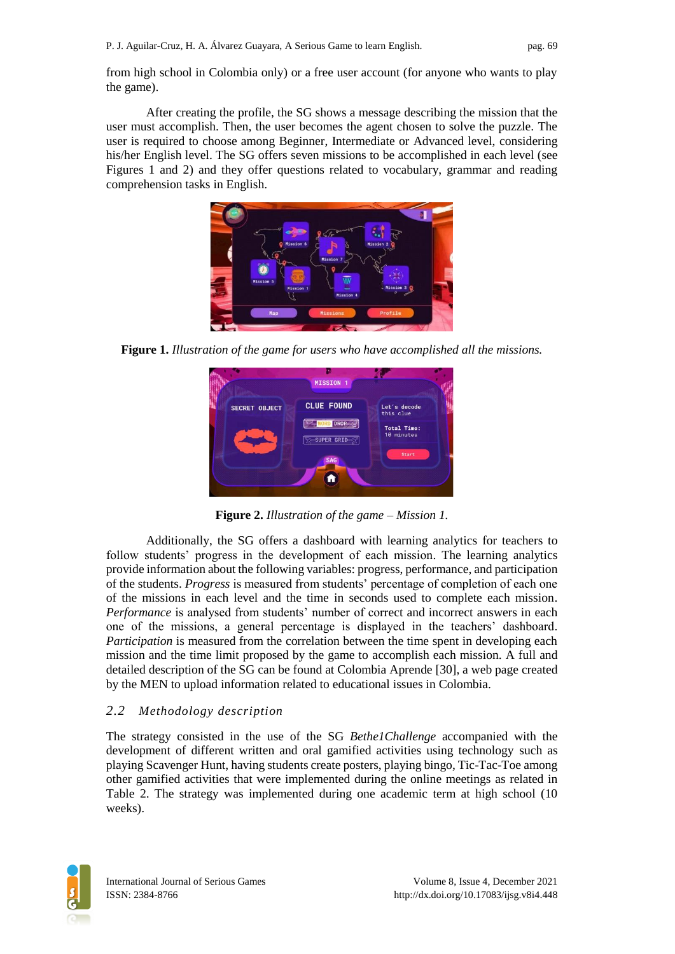from high school in Colombia only) or a free user account (for anyone who wants to play the game).

After creating the profile, the SG shows a message describing the mission that the user must accomplish. Then, the user becomes the agent chosen to solve the puzzle. The user is required to choose among Beginner, Intermediate or Advanced level, considering his/her English level. The SG offers seven missions to be accomplished in each level (see Figures 1 and 2) and they offer questions related to vocabulary, grammar and reading comprehension tasks in English.



**Figure 1.** *Illustration of the game for users who have accomplished all the missions.*



**Figure 2.** *Illustration of the game – Mission 1.*

Additionally, the SG offers a dashboard with learning analytics for teachers to follow students' progress in the development of each mission. The learning analytics provide information about the following variables: progress, performance, and participation of the students. *Progress* is measured from students' percentage of completion of each one of the missions in each level and the time in seconds used to complete each mission. *Performance* is analysed from students' number of correct and incorrect answers in each one of the missions, a general percentage is displayed in the teachers' dashboard. *Participation* is measured from the correlation between the time spent in developing each mission and the time limit proposed by the game to accomplish each mission. A full and detailed description of the SG can be found at Colombia Aprende [30], a web page created by the MEN to upload information related to educational issues in Colombia.

## *2.2 Methodology description*

The strategy consisted in the use of the SG *Bethe1Challenge* accompanied with the development of different written and oral gamified activities using technology such as playing Scavenger Hunt, having students create posters, playing bingo, Tic-Tac-Toe among other gamified activities that were implemented during the online meetings as related in Table 2. The strategy was implemented during one academic term at high school (10 weeks).

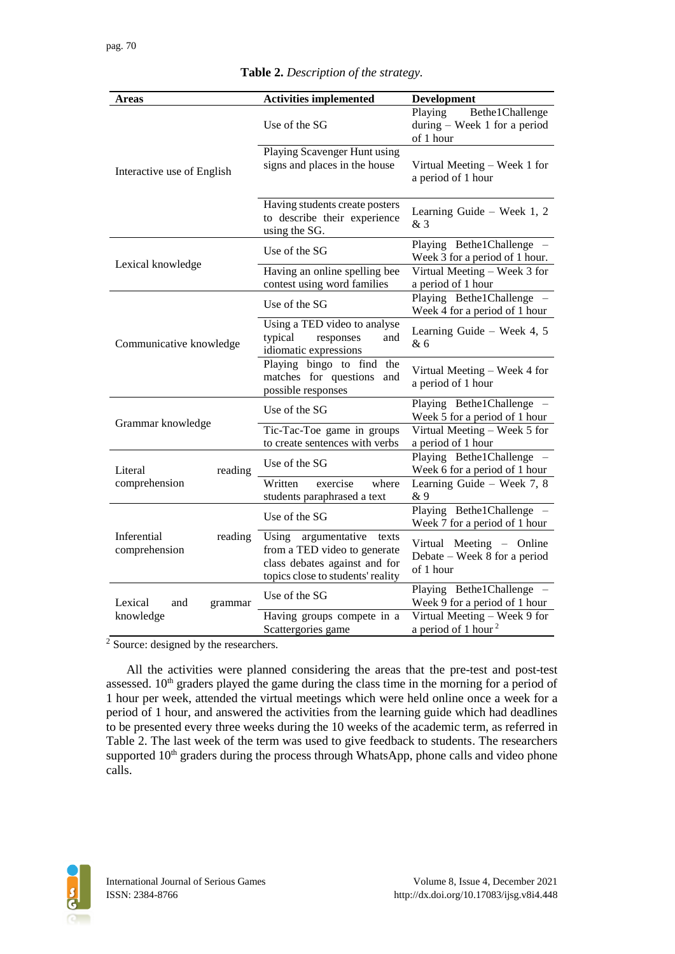| Areas                                   | <b>Activities implemented</b>                                                                                                         | Development                                                               |
|-----------------------------------------|---------------------------------------------------------------------------------------------------------------------------------------|---------------------------------------------------------------------------|
|                                         | Use of the SG                                                                                                                         | Playing<br>Bethe1Challenge<br>during $-$ Week 1 for a period<br>of 1 hour |
| Interactive use of English              | Playing Scavenger Hunt using<br>signs and places in the house                                                                         | Virtual Meeting - Week 1 for<br>a period of 1 hour                        |
|                                         | Having students create posters<br>to describe their experience<br>using the SG.                                                       | Learning Guide - Week 1, 2<br>& 3                                         |
|                                         | Use of the SG                                                                                                                         | Playing Bethe1Challenge -<br>Week 3 for a period of 1 hour.               |
| Lexical knowledge                       | Having an online spelling bee<br>contest using word families                                                                          | Virtual Meeting - Week 3 for<br>a period of 1 hour                        |
|                                         | Use of the SG                                                                                                                         | Playing Bethe1Challenge -<br>Week 4 for a period of 1 hour                |
| Communicative knowledge                 | Using a TED video to analyse<br>responses<br>typical<br>and<br>idiomatic expressions                                                  | Learning Guide - Week 4, 5<br>& 6                                         |
|                                         | Playing bingo to find the<br>matches for questions<br>and<br>possible responses                                                       | Virtual Meeting - Week 4 for<br>a period of 1 hour                        |
| Grammar knowledge                       | Use of the SG                                                                                                                         | Playing Bethe1Challenge -<br>Week 5 for a period of 1 hour                |
|                                         | Tic-Tac-Toe game in groups<br>to create sentences with verbs                                                                          | Virtual Meeting - Week 5 for<br>a period of 1 hour                        |
| Literal<br>reading                      | Use of the SG                                                                                                                         | Playing Bethe1Challenge -<br>Week 6 for a period of 1 hour                |
| comprehension                           | exercise<br>Written<br>where<br>students paraphrased a text                                                                           | Learning Guide - Week 7, 8<br>& 9                                         |
| Inferential<br>reading<br>comprehension | Use of the SG                                                                                                                         | Playing Bethe1Challenge -<br>Week 7 for a period of 1 hour                |
|                                         | Using<br>argumentative<br>texts<br>from a TED video to generate<br>class debates against and for<br>topics close to students' reality | Virtual Meeting - Online<br>Debate – Week 8 for a period<br>of 1 hour     |
| Lexical<br>and<br>grammar               | Use of the SG                                                                                                                         | Playing Bethe1Challenge -<br>Week 9 for a period of 1 hour                |
| knowledge                               | Having groups compete in a<br>Scattergories game                                                                                      | Virtual Meeting - Week 9 for<br>a period of 1 hour <sup>2</sup>           |

**Table 2.** *Description of the strategy.*

 $2\overline{2}$  Source: designed by the researchers.

All the activities were planned considering the areas that the pre-test and post-test assessed. 10<sup>th</sup> graders played the game during the class time in the morning for a period of 1 hour per week, attended the virtual meetings which were held online once a week for a period of 1 hour, and answered the activities from the learning guide which had deadlines to be presented every three weeks during the 10 weeks of the academic term, as referred in Table 2. The last week of the term was used to give feedback to students. The researchers supported 10<sup>th</sup> graders during the process through WhatsApp, phone calls and video phone calls.

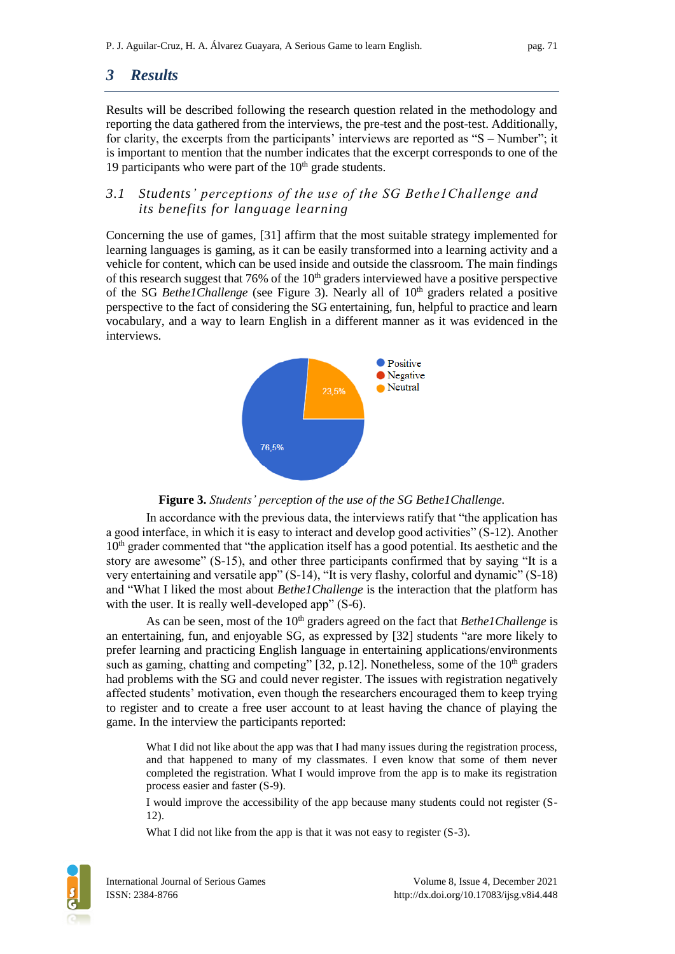# *3 Results*

Results will be described following the research question related in the methodology and reporting the data gathered from the interviews, the pre-test and the post-test. Additionally, for clarity, the excerpts from the participants' interviews are reported as "S – Number"; it is important to mention that the number indicates that the excerpt corresponds to one of the 19 participants who were part of the  $10<sup>th</sup>$  grade students.

### *3.1 Students' perceptions of the use of the SG Bethe1Challenge and its benefits for language learning*

Concerning the use of games, [31] affirm that the most suitable strategy implemented for learning languages is gaming, as it can be easily transformed into a learning activity and a vehicle for content, which can be used inside and outside the classroom. The main findings of this research suggest that  $76\%$  of the  $10<sup>th</sup>$  graders interviewed have a positive perspective of the SG *Bethe1Challenge* (see Figure 3). Nearly all of 10<sup>th</sup> graders related a positive perspective to the fact of considering the SG entertaining, fun, helpful to practice and learn vocabulary, and a way to learn English in a different manner as it was evidenced in the interviews.



#### **Figure 3.** *Students' perception of the use of the SG Bethe1Challenge.*

In accordance with the previous data, the interviews ratify that "the application has a good interface, in which it is easy to interact and develop good activities" (S-12). Another  $10<sup>th</sup>$  grader commented that "the application itself has a good potential. Its aesthetic and the story are awesome" (S-15), and other three participants confirmed that by saying "It is a very entertaining and versatile app" (S-14), "It is very flashy, colorful and dynamic" (S-18) and "What I liked the most about *Bethe1Challenge* is the interaction that the platform has with the user. It is really well-developed app" (S-6).

As can be seen, most of the 10<sup>th</sup> graders agreed on the fact that *Bethe1Challenge* is an entertaining, fun, and enjoyable SG, as expressed by [32] students "are more likely to prefer learning and practicing English language in entertaining applications/environments such as gaming, chatting and competing"  $[32, p.12]$ . Nonetheless, some of the  $10<sup>th</sup>$  graders had problems with the SG and could never register. The issues with registration negatively affected students' motivation, even though the researchers encouraged them to keep trying to register and to create a free user account to at least having the chance of playing the game. In the interview the participants reported:

What I did not like about the app was that I had many issues during the registration process, and that happened to many of my classmates. I even know that some of them never completed the registration. What I would improve from the app is to make its registration process easier and faster (S-9).

I would improve the accessibility of the app because many students could not register (S-12).

What I did not like from the app is that it was not easy to register  $(S-3)$ .

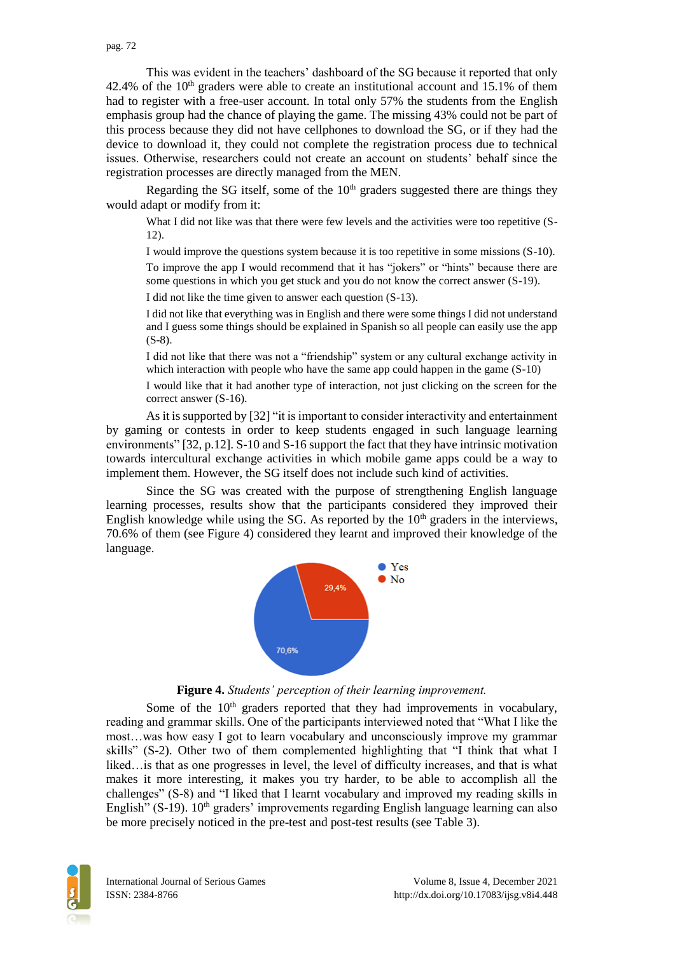This was evident in the teachers' dashboard of the SG because it reported that only 42.4% of the  $10<sup>th</sup>$  graders were able to create an institutional account and 15.1% of them had to register with a free-user account. In total only 57% the students from the English emphasis group had the chance of playing the game. The missing 43% could not be part of this process because they did not have cellphones to download the SG, or if they had the device to download it, they could not complete the registration process due to technical issues. Otherwise, researchers could not create an account on students' behalf since the registration processes are directly managed from the MEN.

Regarding the SG itself, some of the  $10<sup>th</sup>$  graders suggested there are things they would adapt or modify from it:

What I did not like was that there were few levels and the activities were too repetitive (S-12).

I would improve the questions system because it is too repetitive in some missions (S-10).

To improve the app I would recommend that it has "jokers" or "hints" because there are some questions in which you get stuck and you do not know the correct answer (S-19).

I did not like the time given to answer each question (S-13).

I did not like that everything was in English and there were some things I did not understand and I guess some things should be explained in Spanish so all people can easily use the app (S-8).

I did not like that there was not a "friendship" system or any cultural exchange activity in which interaction with people who have the same app could happen in the game  $(S-10)$ 

I would like that it had another type of interaction, not just clicking on the screen for the correct answer (S-16).

As it is supported by [32] "it is important to consider interactivity and entertainment by gaming or contests in order to keep students engaged in such language learning environments" [32, p.12]. S-10 and S-16 support the fact that they have intrinsic motivation towards intercultural exchange activities in which mobile game apps could be a way to implement them. However, the SG itself does not include such kind of activities.

Since the SG was created with the purpose of strengthening English language learning processes, results show that the participants considered they improved their English knowledge while using the SG. As reported by the  $10<sup>th</sup>$  graders in the interviews, 70.6% of them (see Figure 4) considered they learnt and improved their knowledge of the language.



#### **Figure 4.** *Students' perception of their learning improvement.*

Some of the  $10<sup>th</sup>$  graders reported that they had improvements in vocabulary, reading and grammar skills. One of the participants interviewed noted that "What I like the most…was how easy I got to learn vocabulary and unconsciously improve my grammar skills" (S-2). Other two of them complemented highlighting that "I think that what I liked…is that as one progresses in level, the level of difficulty increases, and that is what makes it more interesting, it makes you try harder, to be able to accomplish all the challenges" (S-8) and "I liked that I learnt vocabulary and improved my reading skills in English" (S-19).  $10<sup>th</sup>$  graders' improvements regarding English language learning can also be more precisely noticed in the pre-test and post-test results (see Table 3).

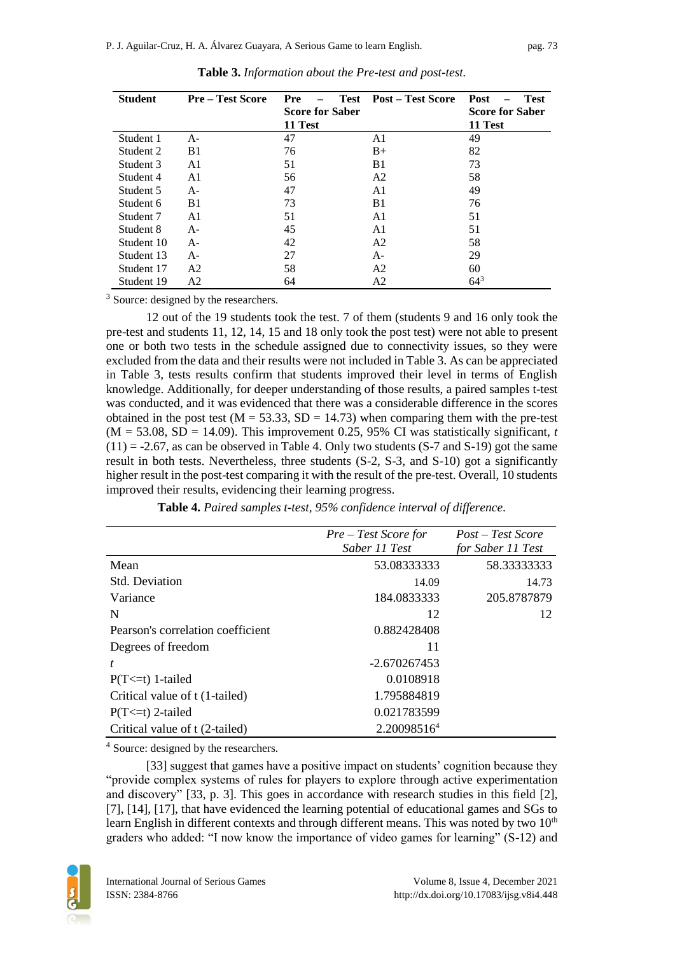| <b>Student</b> | <b>Pre-Test Score</b> | Pre<br><b>Test</b><br><b>Score for Saber</b> | <b>Post – Test Score</b> | Post<br><b>Test</b><br><b>Score for Saber</b> |
|----------------|-----------------------|----------------------------------------------|--------------------------|-----------------------------------------------|
|                |                       | 11 Test                                      |                          | 11 Test                                       |
| Student 1      | A-                    | 47                                           | A1                       | 49                                            |
| Student 2      | B1                    | 76                                           | $B+$                     | 82                                            |
| Student 3      | A1                    | 51                                           | B1                       | 73                                            |
| Student 4      | A1                    | 56                                           | A <sub>2</sub>           | 58                                            |
| Student 5      | $A-$                  | 47                                           | A <sub>1</sub>           | 49                                            |
| Student 6      | B1                    | 73                                           | B <sub>1</sub>           | 76                                            |
| Student 7      | A1                    | 51                                           | A <sub>1</sub>           | 51                                            |
| Student 8      | A-                    | 45                                           | A1                       | 51                                            |
| Student 10     | $A -$                 | 42                                           | A <sub>2</sub>           | 58                                            |
| Student 13     | $A -$                 | 27                                           | $A -$                    | 29                                            |
| Student 17     | A2                    | 58                                           | A2                       | 60                                            |
| Student 19     | A <sub>2</sub>        | 64                                           | A2                       | $64^{3}$                                      |

| Table 3. Information about the Pre-test and post-test. |
|--------------------------------------------------------|
|--------------------------------------------------------|

<sup>3</sup> Source: designed by the researchers.

12 out of the 19 students took the test. 7 of them (students 9 and 16 only took the pre-test and students 11, 12, 14, 15 and 18 only took the post test) were not able to present one or both two tests in the schedule assigned due to connectivity issues, so they were excluded from the data and their results were not included in Table 3. As can be appreciated in Table 3, tests results confirm that students improved their level in terms of English knowledge. Additionally, for deeper understanding of those results, a paired samples t-test was conducted, and it was evidenced that there was a considerable difference in the scores obtained in the post test ( $M = 53.33$ ,  $SD = 14.73$ ) when comparing them with the pre-test  $(M = 53.08, SD = 14.09)$ . This improvement 0.25, 95% CI was statistically significant, *t*  $(11) = -2.67$ , as can be observed in Table 4. Only two students  $(S-7 \text{ and } S-19)$  got the same result in both tests. Nevertheless, three students (S-2, S-3, and S-10) got a significantly higher result in the post-test comparing it with the result of the pre-test. Overall, 10 students improved their results, evidencing their learning progress.

**Table 4.** *Paired samples t-test, 95% confidence interval of difference.* 

|                                   | Pre – Test Score for | Post – Test Score |
|-----------------------------------|----------------------|-------------------|
|                                   | Saber 11 Test        | for Saber 11 Test |
| Mean                              | 53.08333333          | 58.33333333       |
| Std. Deviation                    | 14.09                | 14.73             |
| Variance                          | 184.0833333          | 205.8787879       |
| N                                 | 12                   | 12                |
| Pearson's correlation coefficient | 0.882428408          |                   |
| Degrees of freedom                | 11                   |                   |
| t                                 | $-2.670267453$       |                   |
| $P(T \le t)$ 1-tailed             | 0.0108918            |                   |
| Critical value of t (1-tailed)    | 1.795884819          |                   |
| $P(T \le t)$ 2-tailed             | 0.021783599          |                   |
| Critical value of t (2-tailed)    | 2.200985164          |                   |

<sup>4</sup> Source: designed by the researchers.

[33] suggest that games have a positive impact on students' cognition because they "provide complex systems of rules for players to explore through active experimentation and discovery" [33, p. 3]. This goes in accordance with research studies in this field [2], [7], [14], [17], that have evidenced the learning potential of educational games and SGs to learn English in different contexts and through different means. This was noted by two  $10<sup>th</sup>$ graders who added: "I now know the importance of video games for learning" (S-12) and

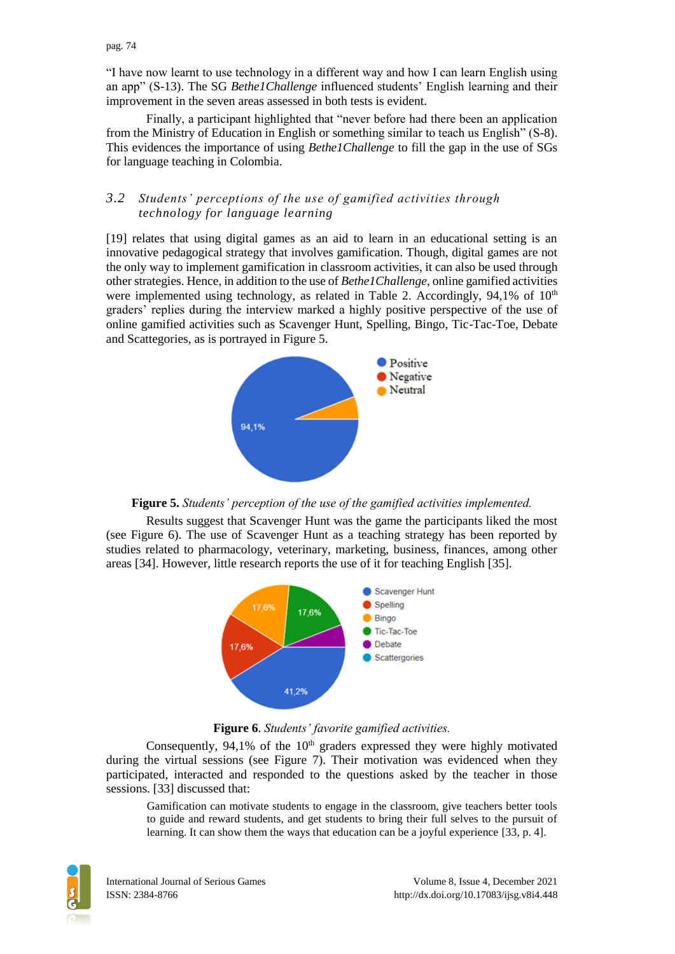pag. 74

"I have now learnt to use technology in a different way and how I can learn English using an app" (S-13). The SG *Bethe1Challenge* influenced students' English learning and their improvement in the seven areas assessed in both tests is evident.

Finally, a participant highlighted that "never before had there been an application from the Ministry of Education in English or something similar to teach us English" (S-8). This evidences the importance of using *Bethe1Challenge* to fill the gap in the use of SGs for language teaching in Colombia.

### *3.2 Students' perceptions of the use of gamified activities through technology for language learning*

[19] relates that using digital games as an aid to learn in an educational setting is an innovative pedagogical strategy that involves gamification. Though, digital games are not the only way to implement gamification in classroom activities, it can also be used through other strategies. Hence, in addition to the use of *Bethe1Challenge*, online gamified activities were implemented using technology, as related in Table 2. Accordingly,  $94.1\%$  of  $10<sup>th</sup>$ graders' replies during the interview marked a highly positive perspective of the use of online gamified activities such as Scavenger Hunt, Spelling, Bingo, Tic-Tac-Toe, Debate and Scattegories, as is portrayed in Figure 5.





Results suggest that Scavenger Hunt was the game the participants liked the most (see Figure 6). The use of Scavenger Hunt as a teaching strategy has been reported by studies related to pharmacology, veterinary, marketing, business, finances, among other areas [34]. However, little research reports the use of it for teaching English [35].



**Figure 6**. *Students' favorite gamified activities.*

Consequently,  $94.1\%$  of the  $10<sup>th</sup>$  graders expressed they were highly motivated during the virtual sessions (see Figure 7). Their motivation was evidenced when they participated, interacted and responded to the questions asked by the teacher in those sessions. [33] discussed that:

Gamification can motivate students to engage in the classroom, give teachers better tools to guide and reward students, and get students to bring their full selves to the pursuit of learning. It can show them the ways that education can be a joyful experience [33, p. 4].

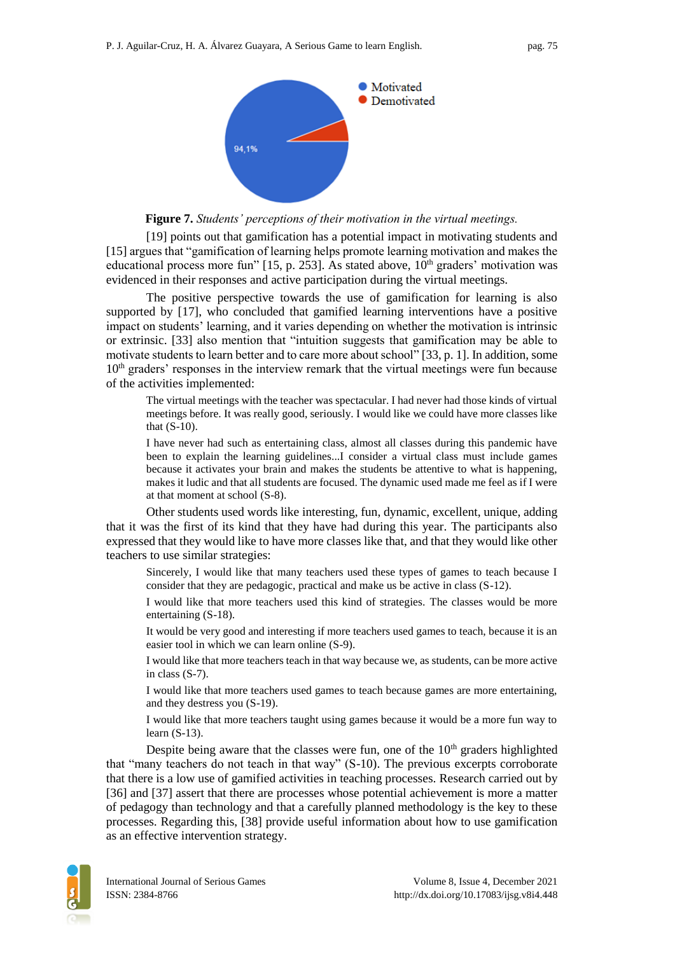

**Figure 7.** *Students' perceptions of their motivation in the virtual meetings.*

[19] points out that gamification has a potential impact in motivating students and [15] argues that "gamification of learning helps promote learning motivation and makes the educational process more fun" [15, p. 253]. As stated above,  $10<sup>th</sup>$  graders' motivation was evidenced in their responses and active participation during the virtual meetings.

The positive perspective towards the use of gamification for learning is also supported by [17], who concluded that gamified learning interventions have a positive impact on students' learning, and it varies depending on whether the motivation is intrinsic or extrinsic. [33] also mention that "intuition suggests that gamification may be able to motivate students to learn better and to care more about school" [33, p. 1]. In addition, some  $10<sup>th</sup>$  graders' responses in the interview remark that the virtual meetings were fun because of the activities implemented:

The virtual meetings with the teacher was spectacular. I had never had those kinds of virtual meetings before. It was really good, seriously. I would like we could have more classes like that (S-10).

I have never had such as entertaining class, almost all classes during this pandemic have been to explain the learning guidelines...I consider a virtual class must include games because it activates your brain and makes the students be attentive to what is happening, makes it ludic and that all students are focused. The dynamic used made me feel as if I were at that moment at school (S-8).

Other students used words like interesting, fun, dynamic, excellent, unique, adding that it was the first of its kind that they have had during this year. The participants also expressed that they would like to have more classes like that, and that they would like other teachers to use similar strategies:

Sincerely, I would like that many teachers used these types of games to teach because I consider that they are pedagogic, practical and make us be active in class (S-12).

I would like that more teachers used this kind of strategies. The classes would be more entertaining (S-18).

It would be very good and interesting if more teachers used games to teach, because it is an easier tool in which we can learn online (S-9).

I would like that more teachers teach in that way because we, as students, can be more active in class (S-7).

I would like that more teachers used games to teach because games are more entertaining, and they destress you (S-19).

I would like that more teachers taught using games because it would be a more fun way to learn (S-13).

Despite being aware that the classes were fun, one of the  $10<sup>th</sup>$  graders highlighted that "many teachers do not teach in that way" (S-10). The previous excerpts corroborate that there is a low use of gamified activities in teaching processes. Research carried out by [36] and [37] assert that there are processes whose potential achievement is more a matter of pedagogy than technology and that a carefully planned methodology is the key to these processes. Regarding this, [38] provide useful information about how to use gamification as an effective intervention strategy.

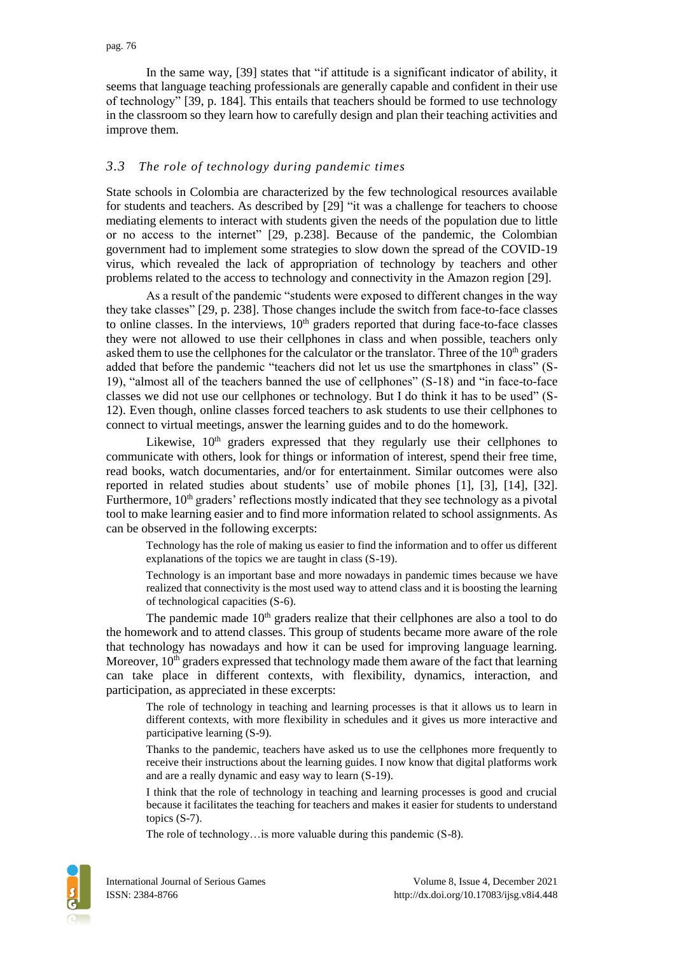In the same way, [39] states that "if attitude is a significant indicator of ability, it seems that language teaching professionals are generally capable and confident in their use of technology" [39, p. 184]. This entails that teachers should be formed to use technology in the classroom so they learn how to carefully design and plan their teaching activities and improve them.

#### *3.3 The role of technology during pandemic times*

State schools in Colombia are characterized by the few technological resources available for students and teachers. As described by [29] "it was a challenge for teachers to choose mediating elements to interact with students given the needs of the population due to little or no access to the internet" [29, p.238]. Because of the pandemic, the Colombian government had to implement some strategies to slow down the spread of the COVID-19 virus, which revealed the lack of appropriation of technology by teachers and other problems related to the access to technology and connectivity in the Amazon region [29].

As a result of the pandemic "students were exposed to different changes in the way they take classes" [29, p. 238]. Those changes include the switch from face-to-face classes to online classes. In the interviews,  $10<sup>th</sup>$  graders reported that during face-to-face classes they were not allowed to use their cellphones in class and when possible, teachers only asked them to use the cellphones for the calculator or the translator. Three of the  $10<sup>th</sup>$  graders added that before the pandemic "teachers did not let us use the smartphones in class" (S-19), "almost all of the teachers banned the use of cellphones" (S-18) and "in face-to-face classes we did not use our cellphones or technology. But I do think it has to be used" (S-12). Even though, online classes forced teachers to ask students to use their cellphones to connect to virtual meetings, answer the learning guides and to do the homework.

Likewise, 10<sup>th</sup> graders expressed that they regularly use their cellphones to communicate with others, look for things or information of interest, spend their free time, read books, watch documentaries, and/or for entertainment. Similar outcomes were also reported in related studies about students' use of mobile phones [1], [3], [14], [32]. Furthermore,  $10<sup>th</sup>$  graders' reflections mostly indicated that they see technology as a pivotal tool to make learning easier and to find more information related to school assignments. As can be observed in the following excerpts:

Technology has the role of making us easier to find the information and to offer us different explanations of the topics we are taught in class (S-19).

Technology is an important base and more nowadays in pandemic times because we have realized that connectivity is the most used way to attend class and it is boosting the learning of technological capacities (S-6).

The pandemic made  $10<sup>th</sup>$  graders realize that their cellphones are also a tool to do the homework and to attend classes. This group of students became more aware of the role that technology has nowadays and how it can be used for improving language learning. Moreover, 10<sup>th</sup> graders expressed that technology made them aware of the fact that learning can take place in different contexts, with flexibility, dynamics, interaction, and participation, as appreciated in these excerpts:

The role of technology in teaching and learning processes is that it allows us to learn in different contexts, with more flexibility in schedules and it gives us more interactive and participative learning (S-9).

Thanks to the pandemic, teachers have asked us to use the cellphones more frequently to receive their instructions about the learning guides. I now know that digital platforms work and are a really dynamic and easy way to learn (S-19).

I think that the role of technology in teaching and learning processes is good and crucial because it facilitates the teaching for teachers and makes it easier for students to understand topics (S-7).

The role of technology…is more valuable during this pandemic (S-8).

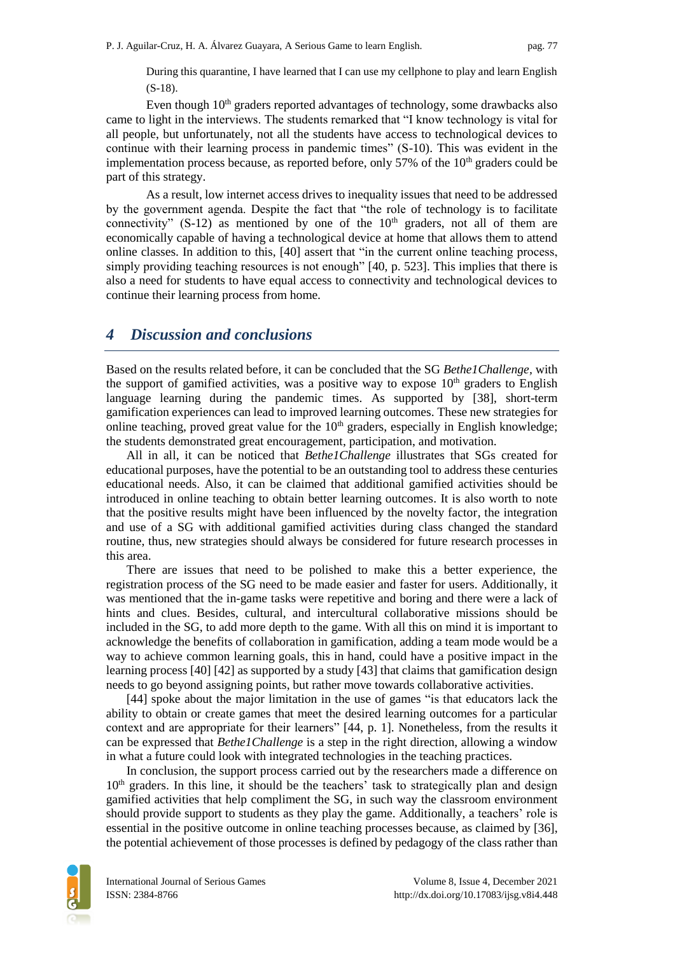During this quarantine, I have learned that I can use my cellphone to play and learn English (S-18).

Even though 10<sup>th</sup> graders reported advantages of technology, some drawbacks also came to light in the interviews. The students remarked that "I know technology is vital for all people, but unfortunately, not all the students have access to technological devices to continue with their learning process in pandemic times" (S-10). This was evident in the implementation process because, as reported before, only 57% of the  $10<sup>th</sup>$  graders could be part of this strategy.

As a result, low internet access drives to inequality issues that need to be addressed by the government agenda. Despite the fact that "the role of technology is to facilitate connectivity" (S-12) as mentioned by one of the  $10<sup>th</sup>$  graders, not all of them are economically capable of having a technological device at home that allows them to attend online classes. In addition to this, [40] assert that "in the current online teaching process, simply providing teaching resources is not enough" [40, p. 523]. This implies that there is also a need for students to have equal access to connectivity and technological devices to continue their learning process from home.

## *4 Discussion and conclusions*

Based on the results related before, it can be concluded that the SG *Bethe1Challenge,* with the support of gamified activities, was a positive way to expose  $10<sup>th</sup>$  graders to English language learning during the pandemic times. As supported by [38], short-term gamification experiences can lead to improved learning outcomes. These new strategies for online teaching, proved great value for the  $10<sup>th</sup>$  graders, especially in English knowledge; the students demonstrated great encouragement, participation, and motivation.

All in all, it can be noticed that *Bethe1Challenge* illustrates that SGs created for educational purposes, have the potential to be an outstanding tool to address these centuries educational needs. Also, it can be claimed that additional gamified activities should be introduced in online teaching to obtain better learning outcomes. It is also worth to note that the positive results might have been influenced by the novelty factor, the integration and use of a SG with additional gamified activities during class changed the standard routine, thus, new strategies should always be considered for future research processes in this area.

There are issues that need to be polished to make this a better experience, the registration process of the SG need to be made easier and faster for users. Additionally, it was mentioned that the in-game tasks were repetitive and boring and there were a lack of hints and clues. Besides, cultural, and intercultural collaborative missions should be included in the SG, to add more depth to the game. With all this on mind it is important to acknowledge the benefits of collaboration in gamification, adding a team mode would be a way to achieve common learning goals, this in hand, could have a positive impact in the learning process [40] [42] as supported by a study [43] that claims that gamification design needs to go beyond assigning points, but rather move towards collaborative activities.

[44] spoke about the major limitation in the use of games "is that educators lack the ability to obtain or create games that meet the desired learning outcomes for a particular context and are appropriate for their learners" [44, p. 1]. Nonetheless, from the results it can be expressed that *Bethe1Challenge* is a step in the right direction, allowing a window in what a future could look with integrated technologies in the teaching practices.

In conclusion, the support process carried out by the researchers made a difference on  $10<sup>th</sup>$  graders. In this line, it should be the teachers' task to strategically plan and design gamified activities that help compliment the SG, in such way the classroom environment should provide support to students as they play the game. Additionally, a teachers' role is essential in the positive outcome in online teaching processes because, as claimed by [36], the potential achievement of those processes is defined by pedagogy of the class rather than

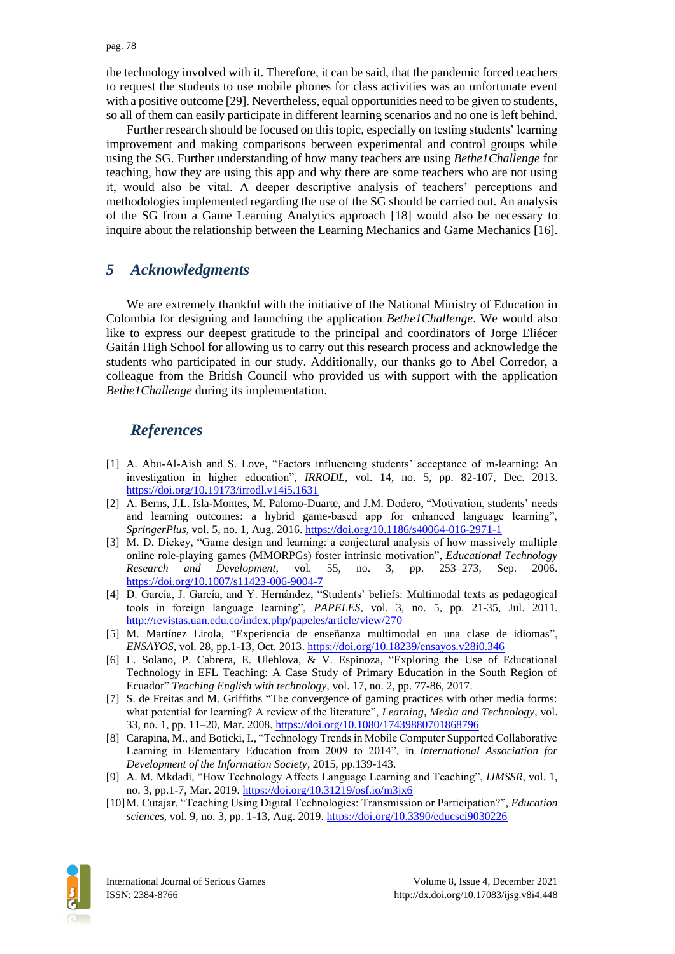the technology involved with it. Therefore, it can be said, that the pandemic forced teachers to request the students to use mobile phones for class activities was an unfortunate event with a positive outcome [29]. Nevertheless, equal opportunities need to be given to students, so all of them can easily participate in different learning scenarios and no one is left behind.

Further research should be focused on this topic, especially on testing students' learning improvement and making comparisons between experimental and control groups while using the SG. Further understanding of how many teachers are using *Bethe1Challenge* for teaching, how they are using this app and why there are some teachers who are not using it, would also be vital. A deeper descriptive analysis of teachers' perceptions and methodologies implemented regarding the use of the SG should be carried out. An analysis of the SG from a Game Learning Analytics approach [18] would also be necessary to inquire about the relationship between the Learning Mechanics and Game Mechanics [16].

## *5 Acknowledgments*

We are extremely thankful with the initiative of the National Ministry of Education in Colombia for designing and launching the application *Bethe1Challenge*. We would also like to express our deepest gratitude to the principal and coordinators of Jorge Eliécer Gaitán High School for allowing us to carry out this research process and acknowledge the students who participated in our study. Additionally, our thanks go to Abel Corredor, a colleague from the British Council who provided us with support with the application *Bethe1Challenge* during its implementation.

# *References*

- [1] A. Abu-Al-Aish and S. Love, "Factors influencing students' acceptance of m-learning: An investigation in higher education", *IRRODL,* vol. 14, no. 5, pp. 82-107, Dec. 2013. <https://doi.org/10.19173/irrodl.v14i5.1631>
- [2] A. Berns, J.L. Isla-Montes, M. Palomo-Duarte, and J.M. Dodero, "Motivation, students' needs and learning outcomes: a hybrid game-based app for enhanced language learning", *SpringerPlus,* vol. 5, no. 1, Aug. 2016.<https://doi.org/10.1186/s40064-016-2971-1>
- [3] M. D. Dickey, "Game design and learning: a conjectural analysis of how massively multiple online role-playing games (MMORPGs) foster intrinsic motivation", *Educational Technology Research and Development,* vol. 55, no. 3, pp. 253–273, Sep. 2006. <https://doi.org/10.1007/s11423-006-9004-7>
- [4] D. García, J. García, and Y. Hernández, "Students' beliefs: Multimodal texts as pedagogical tools in foreign language learning", *PAPELES,* vol. 3, no. 5, pp. 21-35, Jul. 2011. <http://revistas.uan.edu.co/index.php/papeles/article/view/270>
- [5] M. Martínez Lirola, "Experiencia de enseñanza multimodal en una clase de idiomas", *ENSAYOS,* vol. 28, pp.1-13, Oct. 2013.<https://doi.org/10.18239/ensayos.v28i0.346>
- [6] L. Solano, P. Cabrera, E. Ulehlova, & V. Espinoza, "Exploring the Use of Educational Technology in EFL Teaching: A Case Study of Primary Education in the South Region of Ecuador" *Teaching English with technology,* vol. 17, no. 2, pp. 77-86, 2017.
- [7] S. de Freitas and M. Griffiths "The convergence of gaming practices with other media forms: what potential for learning? A review of the literature", *Learning, Media and Technology*, vol. 33, no. 1, pp. 11–20, Mar. 2008.<https://doi.org/10.1080/17439880701868796>
- [8] Carapina, M., and Boticki, I., "Technology Trends in Mobile Computer Supported Collaborative Learning in Elementary Education from 2009 to 2014", in *International Association for Development of the Information Society*, 2015, pp.139-143.
- [9] A. M. Mkdadi, "How Technology Affects Language Learning and Teaching", *IJMSSR,* vol. 1, no. 3, pp.1-7, Mar. 2019. <https://doi.org/10.31219/osf.io/m3jx6>
- [10]M. Cutajar, "Teaching Using Digital Technologies: Transmission or Participation?", *Education sciences,* vol. 9, no. 3, pp. 1-13, Aug. 2019. <https://doi.org/10.3390/educsci9030226>

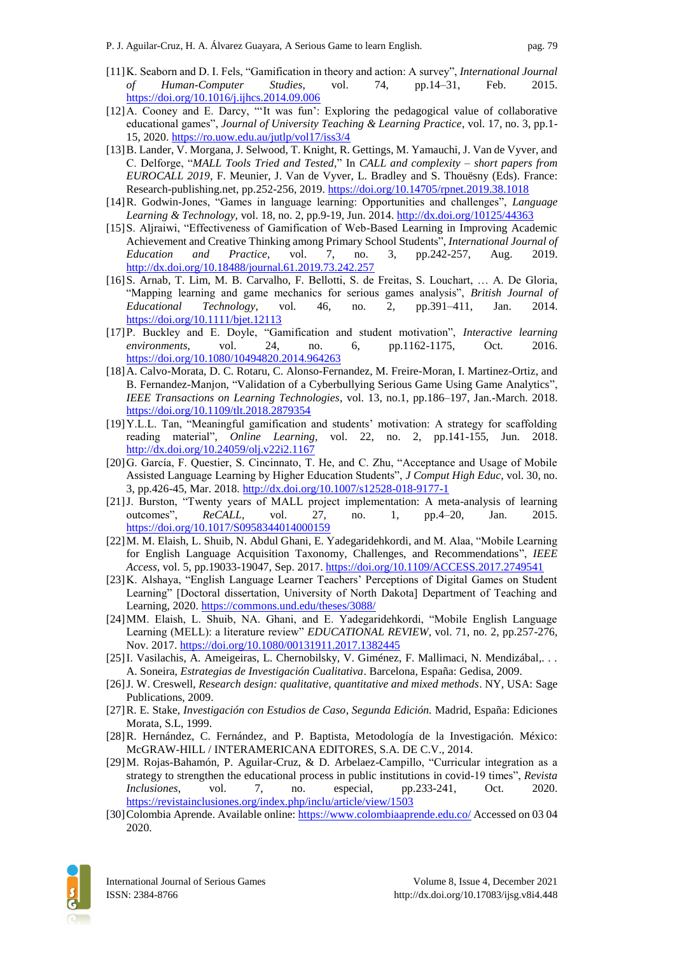- [11]K. Seaborn and D. I. Fels, "Gamification in theory and action: A survey", *International Journal of Human-Computer Studies*, vol. 74, pp.14–31, Feb. 2015. <https://doi.org/10.1016/j.ijhcs.2014.09.006>
- [12]A. Cooney and E. Darcy, "'It was fun': Exploring the pedagogical value of collaborative educational games", *Journal of University Teaching & Learning Practice*, vol. 17, no. 3, pp.1- 15, 2020[. https://ro.uow.edu.au/jutlp/vol17/iss3/4](https://ro.uow.edu.au/jutlp/vol17/iss3/4)
- [13]B. Lander, V. Morgana, J. Selwood, T. Knight, R. Gettings, M. Yamauchi, J. Van de Vyver, and C. Delforge, "*MALL Tools Tried and Tested,*" In *CALL and complexity – short papers from EUROCALL 2019*, F. Meunier, J. Van de Vyver, L. Bradley and S. Thouësny (Eds). France: Research-publishing.net, pp.252-256, 2019.<https://doi.org/10.14705/rpnet.2019.38.1018>
- [14]R. Godwin-Jones, "Games in language learning: Opportunities and challenges", *Language Learning & Technology,* vol. 18, no. 2, pp.9-19, Jun. 2014.<http://dx.doi.org/10125/44363>
- [15]S. Aljraiwi, "Effectiveness of Gamification of Web-Based Learning in Improving Academic Achievement and Creative Thinking among Primary School Students", *International Journal of Education and Practice*, vol. 7, no. 3, pp.242-257, Aug. 2019. <http://dx.doi.org/10.18488/journal.61.2019.73.242.257>
- [16]S. Arnab, T. Lim, M. B. Carvalho, F. Bellotti, S. de Freitas, S. Louchart, … A. De Gloria, "Mapping learning and game mechanics for serious games analysis", *British Journal of Educational Technology*, vol. 46, no. 2, pp.391–411, Jan. 2014. <https://doi.org/10.1111/bjet.12113>
- [17]P. Buckley and E. Doyle, "Gamification and student motivation", *Interactive learning environments,* vol. 24, no. 6, pp.1162-1175, Oct. 2016. <https://doi.org/10.1080/10494820.2014.964263>
- [18]A. Calvo-Morata, D. C. Rotaru, C. Alonso-Fernandez, M. Freire-Moran, I. Martinez-Ortiz, and B. Fernandez-Manjon, "Validation of a Cyberbullying Serious Game Using Game Analytics", *IEEE Transactions on Learning Technologies*, vol. 13, no.1, pp.186–197, Jan.-March. 2018. <https://doi.org/10.1109/tlt.2018.2879354>
- [19]Y.L.L. Tan, "Meaningful gamification and students' motivation: A strategy for scaffolding reading material", *Online Learning,* vol. 22, no. 2, pp.141-155, Jun. 2018. <http://dx.doi.org/10.24059/olj.v22i2.1167>
- [20]G. García, F. Questier, S. Cincinnato, T. He, and C. Zhu, "Acceptance and Usage of Mobile Assisted Language Learning by Higher Education Students", *J Comput High Educ*, vol. 30, no. 3, pp.426-45, Mar. 2018. <http://dx.doi.org/10.1007/s12528-018-9177-1>
- [21]J. Burston, "Twenty years of MALL project implementation: A meta-analysis of learning outcomes", *ReCALL*, vol. 27, no. 1, pp.4–20, Jan. 2015. <https://doi.org/10.1017/S0958344014000159>
- [22]M. M. Elaish, L. Shuib, N. Abdul Ghani, E. Yadegaridehkordi, and M. Alaa, "Mobile Learning for English Language Acquisition Taxonomy, Challenges, and Recommendations", *IEEE Access,* vol. 5, pp.19033-19047, Sep. 2017. <https://doi.org/10.1109/ACCESS.2017.2749541>
- [23]K. Alshaya, "English Language Learner Teachers' Perceptions of Digital Games on Student Learning" [Doctoral dissertation, University of North Dakota] Department of Teaching and Learning, 2020[. https://commons.und.edu/theses/3088/](https://commons.und.edu/theses/3088/)
- [24]MM. Elaish, L. Shuib, NA. Ghani, and E. Yadegaridehkordi, "Mobile English Language Learning (MELL): a literature review" *EDUCATIONAL REVIEW*, vol. 71, no. 2, pp.257-276, Nov. 2017[. https://doi.org/10.1080/00131911.2017.1382445](https://doi.org/10.1080/00131911.2017.1382445)
- [25]I. Vasilachis, A. Ameigeiras, L. Chernobilsky, V. Giménez, F. Mallimaci, N. Mendizábal,. . . A. Soneira, *Estrategias de Investigación Cualitativa*. Barcelona, España: Gedisa, 2009.
- [26]J. W. Creswell, *Research design: qualitative, quantitative and mixed methods*. NY, USA: Sage Publications, 2009.
- [27]R. E. Stake, *Investigación con Estudios de Caso*, *Segunda Edición.* Madrid, España: Ediciones Morata, S.L, 1999.
- [28]R. Hernández, C. Fernández, and P. Baptista, Metodología de la Investigación. México: McGRAW-HILL / INTERAMERICANA EDITORES, S.A. DE C.V., 2014.
- [29]M. Rojas-Bahamón, P. Aguilar-Cruz, & D. Arbelaez-Campillo, "Curricular integration as a strategy to strengthen the educational process in public institutions in covid-19 times", *Revista Inclusiones*, vol. 7, no. especial, pp.233-241, Oct. 2020. <https://revistainclusiones.org/index.php/inclu/article/view/1503>
- [30] Colombia Aprende. Available online:<https://www.colombiaaprende.edu.co/> Accessed on 03 04 2020.